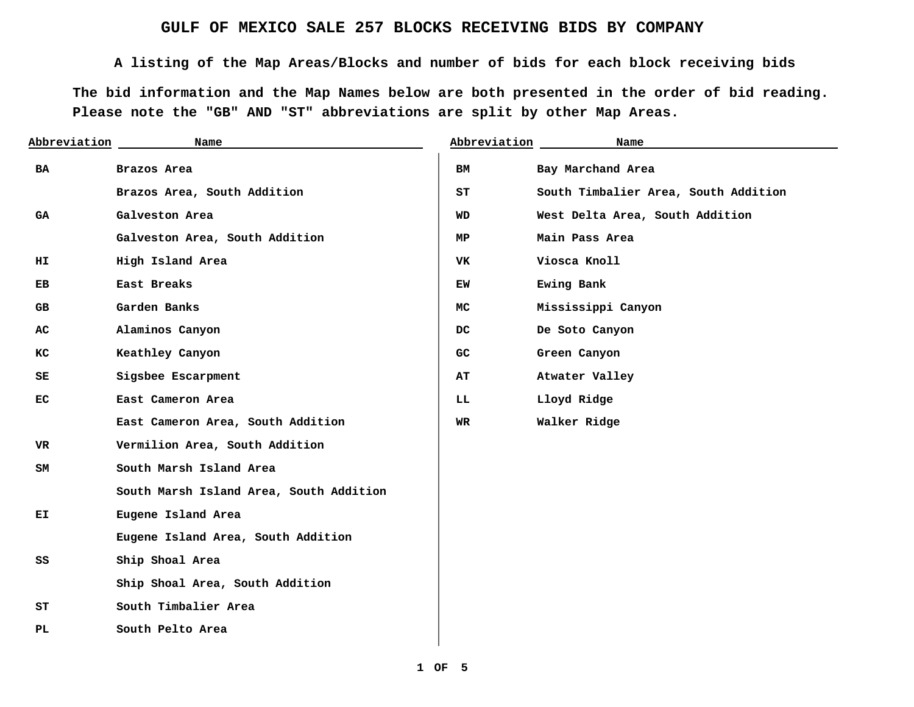## **GULF OF MEXICO SALE 257 BLOCKS RECEIVING BIDS BY COMPANY**

**A listing of the Map Areas/Blocks and number of bids for each block receiving bids** 

**The bid information and the Map Names below are both presented in the order of bid reading. Please note the "GB" AND "ST" abbreviations are split by other Map Areas.** 

| Abbreviation | Name                                    | Abbreviation | Name                                 |
|--------------|-----------------------------------------|--------------|--------------------------------------|
| BA           | Brazos Area                             | BМ           | Bay Marchand Area                    |
|              | Brazos Area, South Addition             | ST           | South Timbalier Area, South Addition |
| GA           | Galveston Area                          | <b>WD</b>    | West Delta Area, South Addition      |
|              | Galveston Area, South Addition          | МP           | Main Pass Area                       |
| HI           | High Island Area                        | VK           | Viosca Knoll                         |
| EB           | East Breaks                             | EW           | Ewing Bank                           |
| GB.          | Garden Banks                            | MC.          | Mississippi Canyon                   |
| AC           | Alaminos Canyon                         | DC.          | De Soto Canyon                       |
| КC           | Keathley Canyon                         | GC           | Green Canyon                         |
| SE           | Sigsbee Escarpment                      | AТ           | Atwater Valley                       |
| EС           | East Cameron Area                       | LL           | Lloyd Ridge                          |
|              | East Cameron Area, South Addition       | WR           | Walker Ridge                         |
| VR           | Vermilion Area, South Addition          |              |                                      |
| SM           | South Marsh Island Area                 |              |                                      |
|              | South Marsh Island Area, South Addition |              |                                      |
| ЕI           | Eugene Island Area                      |              |                                      |
|              | Eugene Island Area, South Addition      |              |                                      |
| SS           | Ship Shoal Area                         |              |                                      |
|              | Ship Shoal Area, South Addition         |              |                                      |
| SТ           | South Timbalier Area                    |              |                                      |
| PL           | South Pelto Area                        |              |                                      |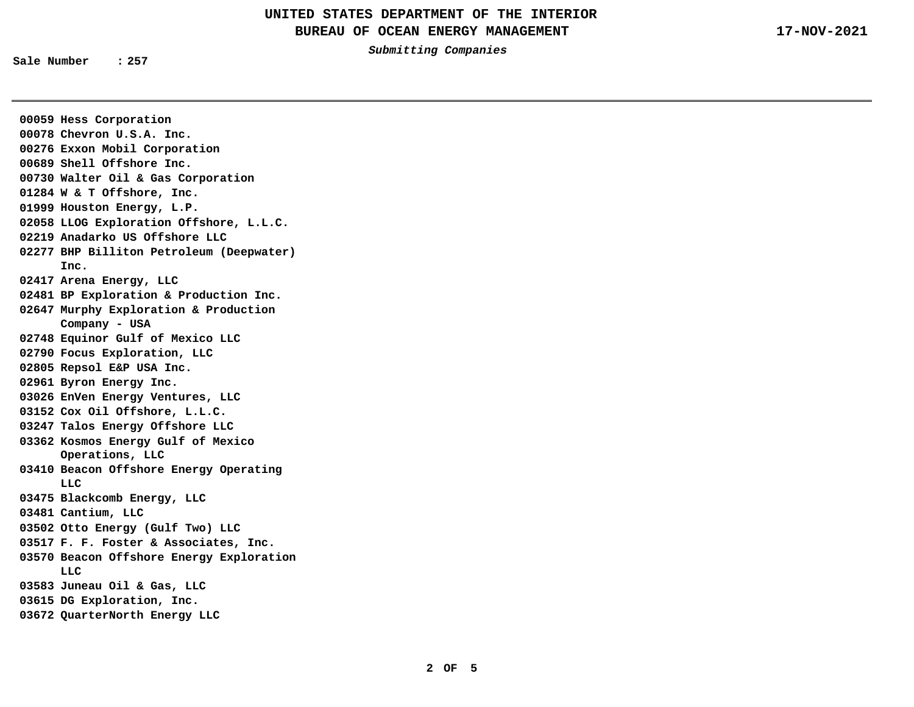**Submitting Companies** 

**Sale Number : 257** 

**00059 Hess Corporation 00078 Chevron U.S.A. Inc. 00276 Exxon Mobil Corporation 00689 Shell Offshore Inc. 00730 Walter Oil & Gas Corporation 01284 W & T Offshore, Inc. 01999 Houston Energy, L.P. 02058 LLOG Exploration Offshore, L.L.C. 02219 Anadarko US Offshore LLC 02277 BHP Billiton Petroleum (Deepwater) Inc. 02417 Arena Energy, LLC 02481 BP Exploration & Production Inc. 02647 Murphy Exploration & Production Company - USA 02748 Equinor Gulf of Mexico LLC 02790 Focus Exploration, LLC 02805 Repsol E&P USA Inc. 02961 Byron Energy Inc. 03026 EnVen Energy Ventures, LLC 03152 Cox Oil Offshore, L.L.C. 03247 Talos Energy Offshore LLC 03362 Kosmos Energy Gulf of Mexico Operations, LLC 03410 Beacon Offshore Energy Operating LLC 03475 Blackcomb Energy, LLC 03481 Cantium, LLC 03502 Otto Energy (Gulf Two) LLC 03517 F. F. Foster & Associates, Inc. 03570 Beacon Offshore Energy Exploration LLC 03583 Juneau Oil & Gas, LLC 03615 DG Exploration, Inc. 03672 QuarterNorth Energy LLC**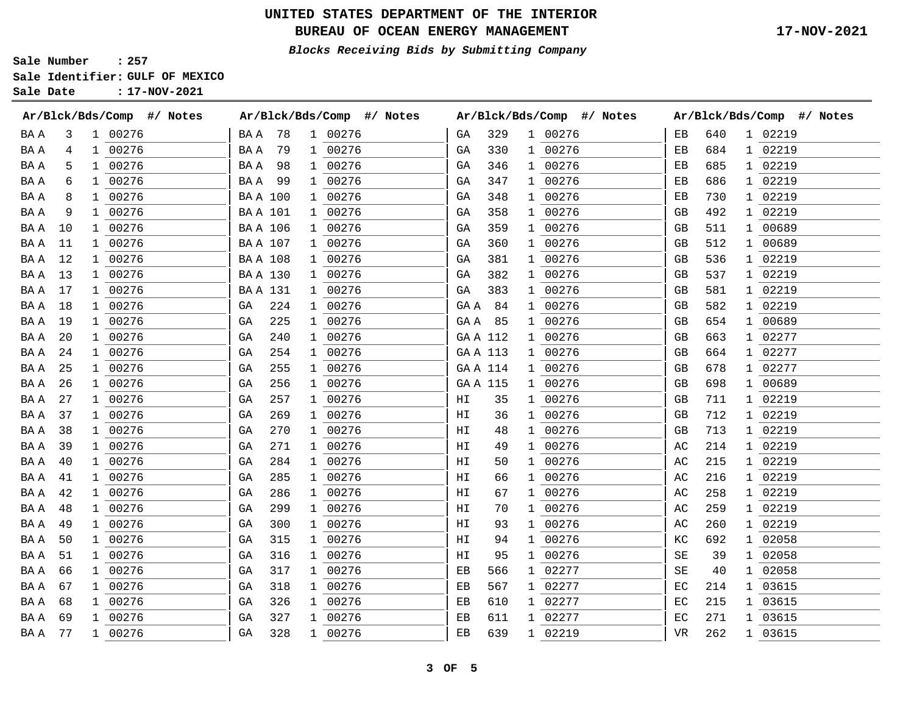## **UNITED STATES DEPARTMENT OF THE INTERIOR**

BUREAU OF OCEAN ENERGY MANAGEMENT **17-NOV-2021** 

**Blocks Receiving Bids by Submitting Company** 

**Sale Number : 257 Sale Identifier: GULF OF MEXICO** 

**Sale Date : 17-NOV-2021** 

|      |    |              | Ar/Blck/Bds/Comp<br>#/ Notes |                | Ar/Blck/Bds/Comp |              | #/ Notes |                  | Ar/Blck/Bds/Comp |   | #/ Notes |    | Ar/Blck/Bds/Comp<br>#/ Notes<br>1 02219<br>640<br>02219<br>684<br>1<br>02219<br>685<br>ı.<br>686<br>02219<br>1<br>02219<br>730<br>1<br>02219<br>492<br>1<br>00689<br>511<br>1<br>00689<br>512<br>1<br>536<br>02219<br>ı<br>02219<br>537<br>1<br>581<br>02219<br>1<br>02219<br>582<br>1<br>654<br>00689<br>1<br>663<br>02277<br>1<br>02277<br>664<br>1<br>678<br>02277<br>1<br>698<br>00689<br>1 |   |         |  |
|------|----|--------------|------------------------------|----------------|------------------|--------------|----------|------------------|------------------|---|----------|----|-------------------------------------------------------------------------------------------------------------------------------------------------------------------------------------------------------------------------------------------------------------------------------------------------------------------------------------------------------------------------------------------------|---|---------|--|
| BA A | 3  |              | 1 00276                      | BA A           | 78               | $\mathbf{1}$ | 00276    | GА               | 329              |   | 1 00276  | ЕB |                                                                                                                                                                                                                                                                                                                                                                                                 |   |         |  |
| BA A | 4  | $\mathbf{1}$ | 00276                        | BA A           | 79               | 1            | 00276    | GA               | 330              |   | 1 00276  | EВ |                                                                                                                                                                                                                                                                                                                                                                                                 |   |         |  |
| BA A | 5  |              | 1 00276                      | BA A           | 98               | ı            | 00276    | GА               | 346              |   | 1 00276  | EВ |                                                                                                                                                                                                                                                                                                                                                                                                 |   |         |  |
| BA A | 6  |              | 1 00276                      | BA A           | 99               | 1            | 00276    | GА               | 347              |   | 1 00276  | EВ |                                                                                                                                                                                                                                                                                                                                                                                                 |   |         |  |
| BA A | 8  |              | 1 00276                      |                | <b>BAA 100</b>   |              | 00276    | GA               | 348              |   | 1 00276  | ЕB |                                                                                                                                                                                                                                                                                                                                                                                                 |   |         |  |
| BA A | 9  |              | 1 00276                      | <b>BAA 101</b> |                  |              | 00276    | GА               | 358              |   | 1 00276  | GB |                                                                                                                                                                                                                                                                                                                                                                                                 |   |         |  |
| BA A | 10 |              | 1 00276                      |                | BA A 106         |              | 00276    | GA               | 359              |   | 1 00276  | GB |                                                                                                                                                                                                                                                                                                                                                                                                 |   |         |  |
| BA A | 11 | 1            | 00276                        |                | <b>BAA 107</b>   |              | 00276    | GA               | 360              |   | 1 00276  | GВ |                                                                                                                                                                                                                                                                                                                                                                                                 |   |         |  |
| BA A | 12 |              | 1 00276                      |                | <b>BAA 108</b>   |              | 00276    | GA               | 381              |   | 1 00276  | GВ |                                                                                                                                                                                                                                                                                                                                                                                                 |   |         |  |
| BA A | 13 |              | 1 00276                      |                | <b>BAA 130</b>   | 1            | 00276    | GA               | 382              |   | 1 00276  | GВ |                                                                                                                                                                                                                                                                                                                                                                                                 |   |         |  |
| BA A | 17 |              | 1 00276                      |                | <b>BAA 131</b>   | 1            | 00276    | GA               | 383              |   | 1 00276  | GB |                                                                                                                                                                                                                                                                                                                                                                                                 |   |         |  |
| BA A | 18 | ı.           | 00276                        | GА             | 224              | 1            | 00276    | $\rm GA$ $\rm A$ | 84               | 1 | 00276    | GВ |                                                                                                                                                                                                                                                                                                                                                                                                 |   |         |  |
| BA A | 19 |              | 1 00276                      | GА             | 225              | 1            | 00276    | GA A             | 85               | ı | 00276    | GВ |                                                                                                                                                                                                                                                                                                                                                                                                 |   |         |  |
| BA A | 20 |              | 1 00276                      | GА             | 240              | 1            | 00276    | GAA 112          |                  |   | 1 00276  | GB |                                                                                                                                                                                                                                                                                                                                                                                                 |   |         |  |
| BA A | 24 | $\mathbf{1}$ | 00276                        | GА             | 254              | 1            | 00276    | GAA 113          |                  | ı | 00276    | GB |                                                                                                                                                                                                                                                                                                                                                                                                 |   |         |  |
| BA A | 25 | $\mathbf{1}$ | 00276                        | GA             | 255              | 1            | 00276    | GAA 114          |                  |   | 1 00276  | GB |                                                                                                                                                                                                                                                                                                                                                                                                 |   |         |  |
| BA A | 26 |              | 1 00276                      | GA             | 256              |              | 00276    | GA A 115         |                  |   | 1 00276  | GB |                                                                                                                                                                                                                                                                                                                                                                                                 |   |         |  |
| BA A | 27 | 1            | 00276                        | GА             | 257              | 1            | 00276    | ΗI               | 35               | 1 | 00276    | GВ | 711                                                                                                                                                                                                                                                                                                                                                                                             | 1 | 02219   |  |
| BA A | 37 | ı.           | 00276                        | GА             | 269              | 1            | 00276    | ΗI               | 36               | 1 | 00276    | GВ | 712                                                                                                                                                                                                                                                                                                                                                                                             | 1 | 02219   |  |
| BA A | 38 |              | 1 00276                      | GА             | 270              | 1            | 00276    | ΗI               | 48               |   | 1 00276  | GB | 713                                                                                                                                                                                                                                                                                                                                                                                             |   | 1 02219 |  |
| BA A | 39 |              | 1 00276                      | GA             | 271              | 1            | 00276    | ΗI               | 49               |   | 1 00276  | AC | 214                                                                                                                                                                                                                                                                                                                                                                                             | 1 | 02219   |  |
| BA A | 40 |              | 00276                        | GА             | 284              | -1           | 00276    | ΗI               | 50               |   | 00276    | AC | 215                                                                                                                                                                                                                                                                                                                                                                                             | 1 | 02219   |  |
| BA A | 41 |              | 1 00276                      | GА             | 285              |              | 00276    | ΗI               | 66               |   | 1 00276  | АC | 216                                                                                                                                                                                                                                                                                                                                                                                             |   | 1 02219 |  |
| BA A | 42 | 1.           | 00276                        | GА             | 286              | 1            | 00276    | ΗI               | 67               | 1 | 00276    | АC | 258                                                                                                                                                                                                                                                                                                                                                                                             | 1 | 02219   |  |
| BA A | 48 | 1            | 00276                        | GА             | 299              | 1            | 00276    | ΗI               | 70               |   | 1 00276  | АC | 259                                                                                                                                                                                                                                                                                                                                                                                             | 1 | 02219   |  |
| BA A | 49 |              | 1 00276                      | GА             | 300              | ı.           | 00276    | ΗI               | 93               |   | 1 00276  | АC | 260                                                                                                                                                                                                                                                                                                                                                                                             | ı | 02219   |  |
| BA A | 50 |              | 1 00276                      | GА             | 315              | 1            | 00276    | ΗI               | 94               |   | 1 00276  | КC | 692                                                                                                                                                                                                                                                                                                                                                                                             | 1 | 02058   |  |
| BA A | 51 |              | 1 00276                      | GА             | 316              | 1            | 00276    | ΗI               | 95               |   | 1 00276  | SΕ | 39                                                                                                                                                                                                                                                                                                                                                                                              | 1 | 02058   |  |
| BA A | 66 |              | 1 00276                      | GА             | 317              |              | 00276    | ЕB               | 566              |   | 02277    | SE | 40                                                                                                                                                                                                                                                                                                                                                                                              | 1 | 02058   |  |
| BA A | 67 |              | 1 00276                      | GА             | 318              | $\mathbf{1}$ | 00276    | ЕB               | 567              |   | 1 02277  | ЕC | 214                                                                                                                                                                                                                                                                                                                                                                                             | 1 | 03615   |  |

BA A 68 1 00276 GA 326 1 00276 EB 610 1 02277 EC 215 1 03615 BA A 69 1 00276 GA 327 1 00276 EB 611 1 02277 EC 271 1 03615 BA A 77 1 00276 GA 328 1 00276 EB 639 1 02219 VR 262 1 03615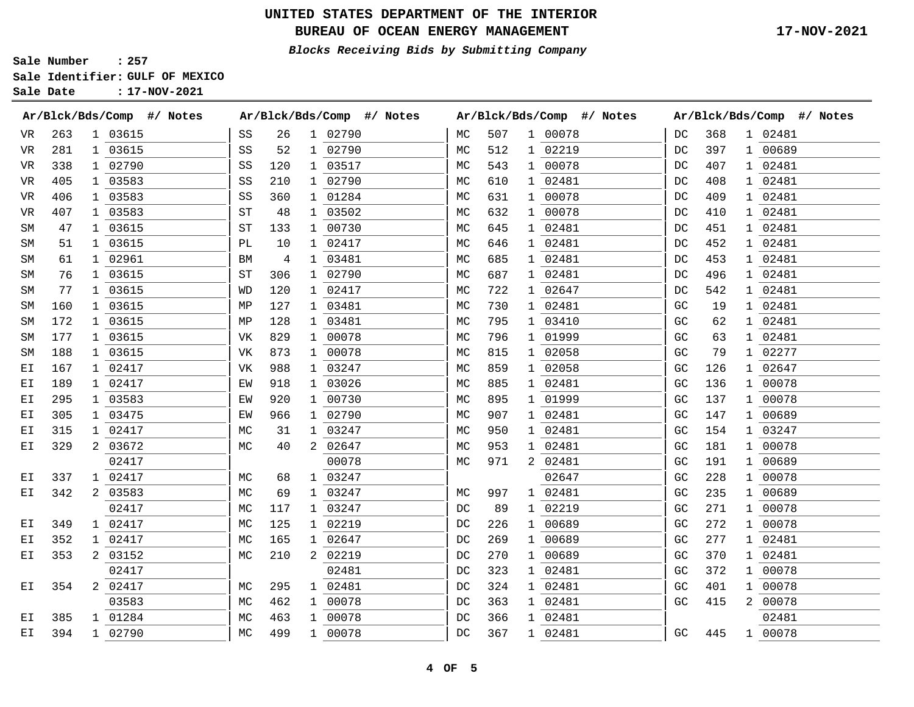## **UNITED STATES DEPARTMENT OF THE INTERIOR**

BUREAU OF OCEAN ENERGY MANAGEMENT **17-NOV-2021** 

**Blocks Receiving Bids by Submitting Company** 

**Sale Number : 257** 

**Sale Identifier: GULF OF MEXICO** 

| Sale Date |  |  | $: 17 - NOV - 2021$ |
|-----------|--|--|---------------------|
|-----------|--|--|---------------------|

|    |     | Ar/Blck/Bds/Comp<br>#/ Notes | Ar/Blck/Bds/Comp<br>#/ Notes     | Ar/Blck/Bds/Comp<br>#/ Notes       | Ar/Blck/Bds/Comp<br>#/ Notes |  |  |  |  |
|----|-----|------------------------------|----------------------------------|------------------------------------|------------------------------|--|--|--|--|
| VR | 263 | 1 03615                      | 1 02790<br>26<br>SS              | 507<br>1 00078<br>МC               | 1 02481<br>DC<br>368         |  |  |  |  |
| VR | 281 | 1 03615                      | SS<br>02790<br>52<br>$\mathbf 1$ | 512<br>1 02219<br>МC               | DC<br>397<br>1 00689         |  |  |  |  |
| VR | 338 | 1 02790                      | 03517<br>120<br>SS<br>1          | 543<br>1 00078<br>МC               | 407<br>DC<br>1 02481         |  |  |  |  |
| VR | 405 | 1 03583                      | 1 02790<br>SS<br>210             | 610<br>1 02481<br>МC               | 408<br>1 02481<br>DC         |  |  |  |  |
| VR | 406 | 1 03583                      | 1 01284<br>360<br>SS             | 1 00078<br>631<br>MC               | 409<br>1 02481<br>DC         |  |  |  |  |
| VR | 407 | 1 03583                      | 03502<br>SТ<br>48<br>1           | 632<br>1 00078<br>MC               | 02481<br>DC<br>410<br>1      |  |  |  |  |
| SΜ | 47  | 1 03615                      | 133<br>00730<br>ST<br>1          | МC<br>645<br>1 02481               | 451<br>02481<br>DC<br>1      |  |  |  |  |
| SΜ | 51  | 1 03615                      | 02417<br>РL<br>10<br>1           | 1 02481<br>646<br>МC               | 02481<br>452<br>DC           |  |  |  |  |
| SΜ | 61  | 02961                        | 03481<br>4<br>BM                 | 685<br>1 02481<br>MC               | 453<br>02481<br>DC           |  |  |  |  |
| SΜ | 76  | 1 03615                      | 306<br>1 02790<br>ST             | 687<br>1 02481<br>MC               | 496<br>1 02481<br>DC         |  |  |  |  |
| SΜ | 77  | 1 03615                      | 120<br>1 02417<br>WD             | 1 02647<br>722<br>МC               | 542<br>1 02481<br>DC         |  |  |  |  |
| SΜ | 160 | 03615                        | 03481<br>127<br>ΜP<br>1          | 02481<br>730<br>МC<br>1            | 02481<br>GC<br>19<br>1       |  |  |  |  |
| SΜ | 172 | 1 03615                      | 128<br>03481<br>ΜP<br>1          | МC<br>795<br>1 03410               | 02481<br>GC<br>62<br>1       |  |  |  |  |
| SΜ | 177 | 03615                        | 00078<br>829<br>VK<br>1          | MC<br>796<br>1 01999               | 02481<br>GC<br>63            |  |  |  |  |
| SΜ | 188 | 1 03615                      | 873<br>00078<br>VK<br>1          | 815<br>1 02058<br>MC               | 79<br>02277<br>GC<br>1       |  |  |  |  |
| ЕI | 167 | 1 02417                      | 988<br>1 03247<br>VK             | 1 02058<br>859<br>МC               | 1 02647<br>GC<br>126         |  |  |  |  |
| ЕI | 189 | 1 02417                      | 03026<br>918<br>ΕW<br>1          | 1 02481<br>885<br>МC               | 136<br>00078<br>GC<br>1      |  |  |  |  |
| ЕI | 295 | 1 03583                      | 00730<br>920<br>ΕW<br>1          | 1 01999<br>МC<br>895               | GC<br>137<br>00078<br>1      |  |  |  |  |
| ЕI | 305 | 1 03475                      | 02790<br>EW<br>966<br>1          | 907<br>1 02481<br>MC               | 147<br>00689<br>GC<br>1      |  |  |  |  |
| ЕI | 315 | 02417                        | 03247<br>МC<br>31<br>1           | 1 02481<br>MC<br>950               | 154<br>03247<br>GC           |  |  |  |  |
| ΕI | 329 | 03672                        | 02647<br>40<br>2<br>МC           | 1 02481<br>953<br>МC               | 181<br>00078<br>GC           |  |  |  |  |
|    |     | 02417                        | 00078                            | 2 02481<br>971<br>МC               | 00689<br>GC<br>191<br>1      |  |  |  |  |
| ЕI | 337 | 02417                        | 03247<br>MC<br>68<br>1           | 02647                              | 228<br>00078<br>GC<br>1      |  |  |  |  |
| ЕI | 342 | 03583                        | 03247<br>MC<br>69<br>1           | 02481<br>МC<br>997<br>$\mathbf{1}$ | 00689<br>GC<br>235<br>1      |  |  |  |  |
|    |     | 02417                        | 117<br>03247<br>МC<br>1          | 89<br>1 02219<br>DC                | 271<br>GC<br>00078<br>1      |  |  |  |  |
| ЕI | 349 | 02417                        | 125<br>02219<br>МC<br>1          | 226<br>1 00689<br>DC               | GC<br>272<br>00078<br>1      |  |  |  |  |
| ЕI | 352 | 1 02417                      | 165<br>1 02647<br>МC             | 269<br>1 00689<br>DC               | 277<br>GC<br>02481<br>1      |  |  |  |  |
| ЕI | 353 | 2 03152                      | 2 02219<br>210<br>МC             | 1 00689<br>DC<br>270               | 02481<br>370<br>GC           |  |  |  |  |
|    |     | 02417                        | 02481                            | 323<br>1 02481<br>DC               | 372<br>00078<br>GC<br>1      |  |  |  |  |
| ЕI | 354 | 02417                        | 295<br>02481<br>МC<br>1          | DC<br>324<br>1 02481               | GC<br>401<br>00078<br>1      |  |  |  |  |
|    |     | 03583                        | 462<br>00078<br>МC<br>1          | 363<br>1 02481<br>DC               | 415<br>2<br>00078<br>GC      |  |  |  |  |
| ЕI | 385 | 01284                        | 463<br>00078<br>МC<br>1          | 1 02481<br>366<br>DC               | 02481                        |  |  |  |  |
| ЕI | 394 | 1 02790                      | 499<br>1 00078<br>MC             | 367<br>1 02481<br>DC               | 1 00078<br>GC<br>445         |  |  |  |  |